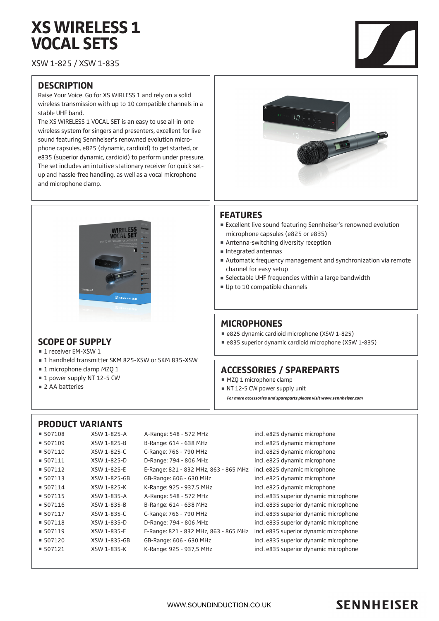# **XS WIRELESS 1 VOCAL SETS**

XSW 1-825 / XSW 1-835

### **DESCRIPTION**

Raise Your Voice. Go for XS WIRLESS 1 and rely on a solid wireless transmission with up to 10 compatible channels in a stable UHF band.

The XS WIRELESS 1 VOCAL SET is an easy to use all-in-one wireless system for singers and presenters, excellent for live sound featuring Sennheiser's renowned evolution microphone capsules, e825 (dynamic, cardioid) to get started, or e835 (superior dynamic, cardioid) to perform under pressure. The set includes an intuitive stationary receiver for quick setup and hassle-free handling, as well as a vocal microphone and microphone clamp.



### **SCOPE OF SUPPLY**

- 1 receiver EM-XSW 1
- 1 handheld transmitter SKM 825-XSW or SKM 835-XSW
- 1 microphone clamp MZQ 1
- 1 power supply NT 12-5 CW
- 2 AA batteries



### **FEATURES**

- Excellent live sound featuring Sennheiser's renowned evolution microphone capsules (e825 or e835)
- Antenna-switching diversity reception
- Integrated antennas
- Automatic frequency management and synchronization via remote channel for easy setup
- Selectable UHF frequencies within a large bandwidth
- Up to 10 compatible channels

### **MICROPHONES**

- e825 dynamic cardioid microphone (XSW 1-825)
- e835 superior dynamic cardioid microphone (XSW 1-835)

### **ACCESSORIES / SPAREPARTS**

- $MZQ$  1 microphone clamp
- NT 12-5 CW power supply unit
- *For more accessories and spareparts please visit www.sennheiser.com*

### **PRODUCT VARIANTS**

| $\blacksquare$ 507108 | XSW 1-825-A  | A-Range: 548 - 572 MHz                | incl. e825 dynamic microphone          |
|-----------------------|--------------|---------------------------------------|----------------------------------------|
| $\blacksquare$ 507109 | XSW 1-825-B  | B-Range: 614 - 638 MHz                | incl. e825 dynamic microphone          |
| $\blacksquare$ 507110 | XSW 1-825-C  | C-Range: 766 - 790 MHz                | incl. e825 dynamic microphone          |
| $\blacksquare$ 507111 | XSW 1-825-D  | D-Range: 794 - 806 MHz                | incl. e825 dynamic microphone          |
| $\blacksquare$ 507112 | XSW 1-825-E  | E-Range: 821 - 832 MHz, 863 - 865 MHz | incl. e825 dynamic microphone          |
| $\blacksquare$ 507113 | XSW 1-825-GB | GB-Range: 606 - 630 MHz               | incl. e825 dynamic microphone          |
| $\blacksquare$ 507114 | XSW 1-825-K  | K-Range: 925 - 937,5 MHz              | incl. e825 dynamic microphone          |
| $\blacksquare$ 507115 | XSW 1-835-A  | A-Range: 548 - 572 MHz                | incl. e835 superior dynamic microphone |
| $\blacksquare$ 507116 | XSW 1-835-B  | B-Range: 614 - 638 MHz                | incl. e835 superior dynamic microphone |
| $\blacksquare$ 507117 | XSW 1-835-C  | C-Range: 766 - 790 MHz                | incl. e835 superior dynamic microphone |
| $\blacksquare$ 507118 | XSW 1-835-D  | D-Range: 794 - 806 MHz                | incl. e835 superior dynamic microphone |
| $\blacksquare$ 507119 | XSW 1-835-E  | E-Range: 821 - 832 MHz, 863 - 865 MHz | incl. e835 superior dynamic microphone |
| 507120                | XSW 1-835-GB | GB-Range: 606 - 630 MHz               | incl. e835 superior dynamic microphone |
| $\blacksquare$ 507121 | XSW 1-835-K  | K-Range: 925 - 937,5 MHz              | incl. e835 superior dynamic microphone |
|                       |              |                                       |                                        |

## **SENNHEISER**